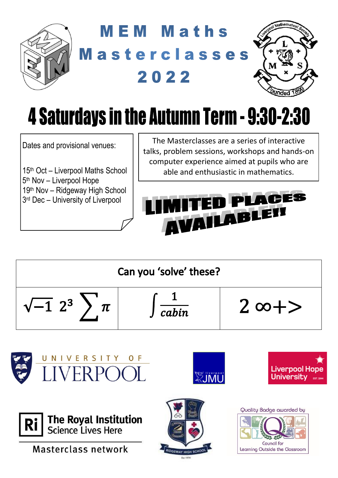

## **MEM Maths** Masterclasses 2022



# 4 Saturdays in the Autumn Term - 9:30-2:30

Dates and provisional venues:

th Oct – Liverpool Maths School 5<sup>th</sup> Nov – Liverpool Hope th Nov – Ridgeway High School rd Dec – University of Liverpool

The Masterclasses are a series of interactive talks, problem sessions, workshops and hands-on computer experience aimed at pupils who are able and enthusiastic in mathematics.









Masterclass network



**SECTIVE PRO** 



**Liverpool Hope** 

Universitv